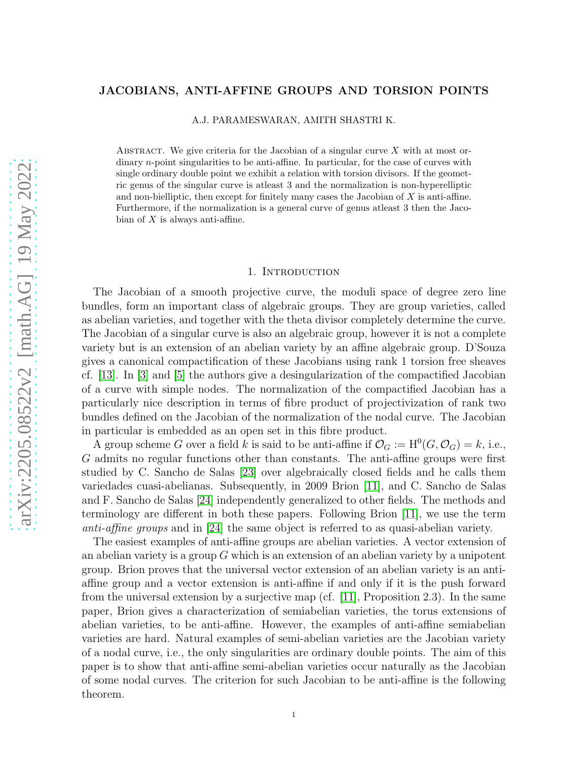# JACOBIANS, ANTI-AFFINE GROUPS AND TORSION POINTS

A.J. PARAMESWARAN, AMITH SHASTRI K.

ABSTRACT. We give criteria for the Jacobian of a singular curve  $X$  with at most ordinary n-point singularities to be anti-affine. In particular, for the case of curves with single ordinary double point we exhibit a relation with torsion divisors. If the geometric genus of the singular curve is atleast 3 and the normalization is non-hyperelliptic and non-bielliptic, then except for finitely many cases the Jacobian of  $X$  is anti-affine. Furthermore, if the normalization is a general curve of genus atleast 3 then the Jacobian of  $X$  is always anti-affine.

### 1. Introduction

The Jacobian of a smooth projective curve, the moduli space of degree zero line bundles, form an important class of algebraic groups. They are group varieties, called as abelian varieties, and together with the theta divisor completely determine the curve. The Jacobian of a singular curve is also an algebraic group, however it is not a complete variety but is an extension of an abelian variety by an affine algebraic group. D'Souza gives a canonical compactification of these Jacobians using rank 1 torsion free sheaves cf. [\[13\]](#page-15-0). In [\[3\]](#page-14-0) and [\[5\]](#page-14-1) the authors give a desingularization of the compactified Jacobian of a curve with simple nodes. The normalization of the compactified Jacobian has a particularly nice description in terms of fibre product of projectivization of rank two bundles defined on the Jacobian of the normalization of the nodal curve. The Jacobian in particular is embedded as an open set in this fibre product.

A group scheme G over a field k is said to be anti-affine if  $\mathcal{O}_G := H^0(G, \mathcal{O}_G) = k$ , i.e., G admits no regular functions other than constants. The anti-affine groups were first studied by C. Sancho de Salas [\[23\]](#page-15-1) over algebraically closed fields and he calls them variedades cuasi-abelianas. Subsequently, in 2009 Brion [\[11\]](#page-15-2), and C. Sancho de Salas and F. Sancho de Salas [\[24\]](#page-15-3) independently generalized to other fields. The methods and terminology are different in both these papers. Following Brion [\[11\]](#page-15-2), we use the term anti-affine groups and in [\[24\]](#page-15-3) the same object is referred to as quasi-abelian variety.

The easiest examples of anti-affine groups are abelian varieties. A vector extension of an abelian variety is a group  $G$  which is an extension of an abelian variety by a unipotent group. Brion proves that the universal vector extension of an abelian variety is an antiaffine group and a vector extension is anti-affine if and only if it is the push forward from the universal extension by a surjective map (cf.  $[11]$ , Proposition 2.3). In the same paper, Brion gives a characterization of semiabelian varieties, the torus extensions of abelian varieties, to be anti-affine. However, the examples of anti-affine semiabelian varieties are hard. Natural examples of semi-abelian varieties are the Jacobian variety of a nodal curve, i.e., the only singularities are ordinary double points. The aim of this paper is to show that anti-affine semi-abelian varieties occur naturally as the Jacobian of some nodal curves. The criterion for such Jacobian to be anti-affine is the following theorem.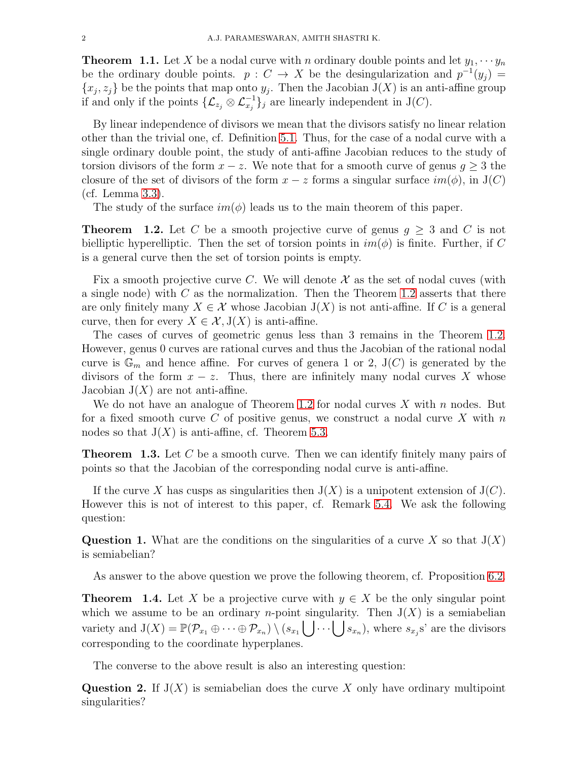<span id="page-1-2"></span>**Theorem 1.1.** Let X be a nodal curve with n ordinary double points and let  $y_1, \dots, y_n$ be the ordinary double points.  $p: C \to X$  be the desingularization and  $p^{-1}(y_j) =$  $\{x_j, z_j\}$  be the points that map onto  $y_j$ . Then the Jacobian  $J(X)$  is an anti-affine group if and only if the points  $\{\mathcal{L}_{z_j} \otimes \mathcal{L}_{x_j}^{-1}\}_j$  are linearly independent in J(C).

By linear independence of divisors we mean that the divisors satisfy no linear relation other than the trivial one, cf. Definition [5.1.](#page-9-0) Thus, for the case of a nodal curve with a single ordinary double point, the study of anti-affine Jacobian reduces to the study of torsion divisors of the form  $x - z$ . We note that for a smooth curve of genus  $g \geq 3$  the closure of the set of divisors of the form  $x - z$  forms a singular surface  $im(\phi)$ , in J(C) (cf. Lemma [3.3\)](#page-5-0).

The study of the surface  $im(\phi)$  leads us to the main theorem of this paper.

<span id="page-1-0"></span>**Theorem 1.2.** Let C be a smooth projective curve of genus  $g \geq 3$  and C is not bielliptic hyperelliptic. Then the set of torsion points in  $im(\phi)$  is finite. Further, if C is a general curve then the set of torsion points is empty.

Fix a smooth projective curve C. We will denote  $\mathcal X$  as the set of nodal cuves (with a single node) with  $C$  as the normalization. Then the Theorem [1.2](#page-1-0) asserts that there are only finitely many  $X \in \mathcal{X}$  whose Jacobian  $J(X)$  is not anti-affine. If C is a general curve, then for every  $X \in \mathcal{X}, J(X)$  is anti-affine.

The cases of curves of geometric genus less than 3 remains in the Theorem [1.2.](#page-1-0) However, genus 0 curves are rational curves and thus the Jacobian of the rational nodal curve is  $\mathbb{G}_m$  and hence affine. For curves of genera 1 or 2,  $J(C)$  is generated by the divisors of the form  $x - z$ . Thus, there are infinitely many nodal curves X whose Jacobian  $J(X)$  are not anti-affine.

We do not have an analogue of Theorem [1.2](#page-1-0) for nodal curves  $X$  with n nodes. But for a fixed smooth curve C of positive genus, we construct a nodal curve X with  $n$ nodes so that  $J(X)$  is anti-affine, cf. Theorem [5.3.](#page-10-0)

<span id="page-1-1"></span>**Theorem 1.3.** Let C be a smooth curve. Then we can identify finitely many pairs of points so that the Jacobian of the corresponding nodal curve is anti-affine.

If the curve X has cusps as singularities then  $J(X)$  is a unipotent extension of  $J(C)$ . However this is not of interest to this paper, cf. Remark [5.4.](#page-10-1) We ask the following question:

Question 1. What are the conditions on the singularities of a curve X so that  $J(X)$ is semiabelian?

As answer to the above question we prove the following theorem, cf. Proposition [6.2.](#page-11-0)

<span id="page-1-3"></span>**Theorem 1.4.** Let X be a projective curve with  $y \in X$  be the only singular point which we assume to be an ordinary *n*-point singularity. Then  $J(X)$  is a semiabelian variety and  $J(X) = \mathbb{P}(\mathcal{P}_{x_1} \oplus \cdots \oplus \mathcal{P}_{x_n}) \setminus (s_{x_1} \bigcup \cdots \bigcup s_{x_n})$ , where  $s_{x_j}$ s' are the divisors corresponding to the coordinate hyperplanes.

The converse to the above result is also an interesting question:

Question 2. If  $J(X)$  is semiabelian does the curve X only have ordinary multipoint singularities?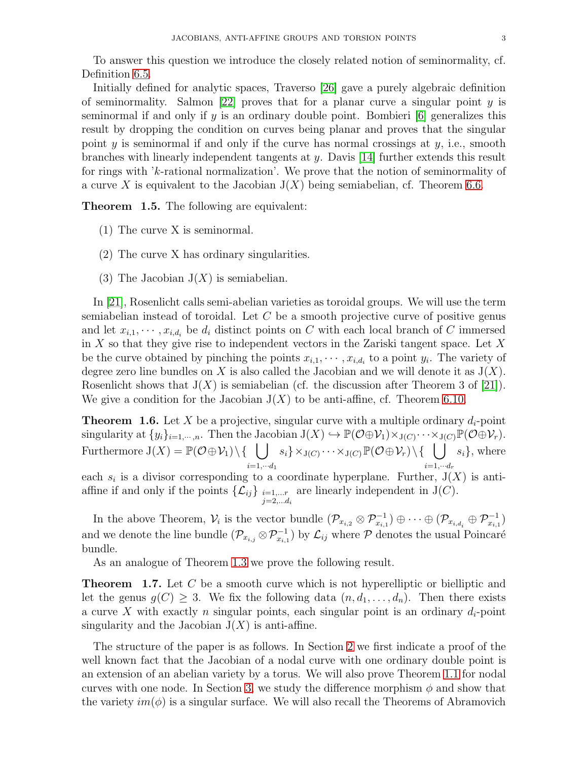To answer this question we introduce the closely related notion of seminormality, cf. Definition [6.5.](#page-12-0)

Initially defined for analytic spaces, Traverso [\[26\]](#page-15-4) gave a purely algebraic definition of seminormality. Salmon [\[22\]](#page-15-5) proves that for a planar curve a singular point  $y$  is seminormal if and only if  $y$  is an ordinary double point. Bombieri  $[6]$  generalizes this result by dropping the condition on curves being planar and proves that the singular point y is seminormal if and only if the curve has normal crossings at  $y$ , i.e., smooth branches with linearly independent tangents at y. Davis [\[14\]](#page-15-7) further extends this result for rings with 'k-rational normalization'. We prove that the notion of seminormality of a curve X is equivalent to the Jacobian  $J(X)$  being semiabelian, cf. Theorem [6.6.](#page-12-1)

<span id="page-2-0"></span>Theorem 1.5. The following are equivalent:

- (1) The curve X is seminormal.
- (2) The curve X has ordinary singularities.
- (3) The Jacobian  $J(X)$  is semiabelian.

In [\[21\]](#page-15-8), Rosenlicht calls semi-abelian varieties as toroidal groups. We will use the term semiabelian instead of toroidal. Let  $C$  be a smooth projective curve of positive genus and let  $x_{i,1}, \dots, x_{i,d_i}$  be  $d_i$  distinct points on C with each local branch of C immersed in  $X$  so that they give rise to independent vectors in the Zariski tangent space. Let  $X$ be the curve obtained by pinching the points  $x_{i,1}, \dots, x_{i,d_i}$  to a point  $y_i$ . The variety of degree zero line bundles on X is also called the Jacobian and we will denote it as  $J(X)$ . Rosenlicht shows that  $J(X)$  is semiabelian (cf. the discussion after Theorem 3 of [\[21\]](#page-15-8)). We give a condition for the Jacobian  $J(X)$  to be anti-affine, cf. Theorem [6.10.](#page-13-0)

<span id="page-2-1"></span>**Theorem 1.6.** Let X be a projective, singular curve with a multiple ordinary  $d_i$ -point singularity at  $\{y_i\}_{i=1,\dots,n}$ . Then the Jacobian  $J(X) \hookrightarrow \mathbb{P}(\mathcal{O} \oplus \mathcal{V}_1) \times_{J(C)} \cdots \times_{J(C)} \mathbb{P}(\mathcal{O} \oplus \mathcal{V}_r)$ . Furthermore  $J(X) = \mathbb{P}(\mathcal{O} \oplus \mathcal{V}_1) \setminus \{-\} \cup s_i\} \times_{J(C)} \cdots \times_{J(C)} \mathbb{P}(\mathcal{O} \oplus \mathcal{V}_r) \setminus \{-\} \cup s_i\}$ , where  $i=1,\cdots d_1$  $i=1,\cdots d_r$ 

each  $s_i$  is a divisor corresponding to a coordinate hyperplane. Further,  $J(X)$  is antiaffine if and only if the points  $\{\mathcal{L}_{ij}\}\right|_{i=1,\dots r}$  $j=2,...d_i$ are linearly independent in  $J(C)$ .

In the above Theorem,  $\mathcal{V}_i$  is the vector bundle  $(\mathcal{P}_{x_{i,2}} \otimes \mathcal{P}_{x_{i,1}}^{-1}) \oplus \cdots \oplus (\mathcal{P}_{x_{i,d_i}} \oplus \mathcal{P}_{x_{i,1}}^{-1})$ and we denote the line bundle  $(\mathcal{P}_{x_{i,j}} \otimes \mathcal{P}_{x_{i,1}}^{-1})$  by  $\mathcal{L}_{ij}$  where  $\mathcal P$  denotes the usual Poincaré bundle.

As an analogue of Theorem [1.3](#page-1-1) we prove the following result.

<span id="page-2-2"></span>**Theorem 1.7.** Let C be a smooth curve which is not hyperelliptic or bielliptic and let the genus  $g(C) \geq 3$ . We fix the following data  $(n, d_1, \ldots, d_n)$ . Then there exists a curve X with exactly n singular points, each singular point is an ordinary  $d_i$ -point singularity and the Jacobian  $J(X)$  is anti-affine.

The structure of the paper is as follows. In Section [2](#page-3-0) we first indicate a proof of the well known fact that the Jacobian of a nodal curve with one ordinary double point is an extension of an abelian variety by a torus. We will also prove Theorem [1.1](#page-1-2) for nodal curves with one node. In Section [3,](#page-4-0) we study the difference morphism  $\phi$  and show that the variety  $im(\phi)$  is a singular surface. We will also recall the Theorems of Abramovich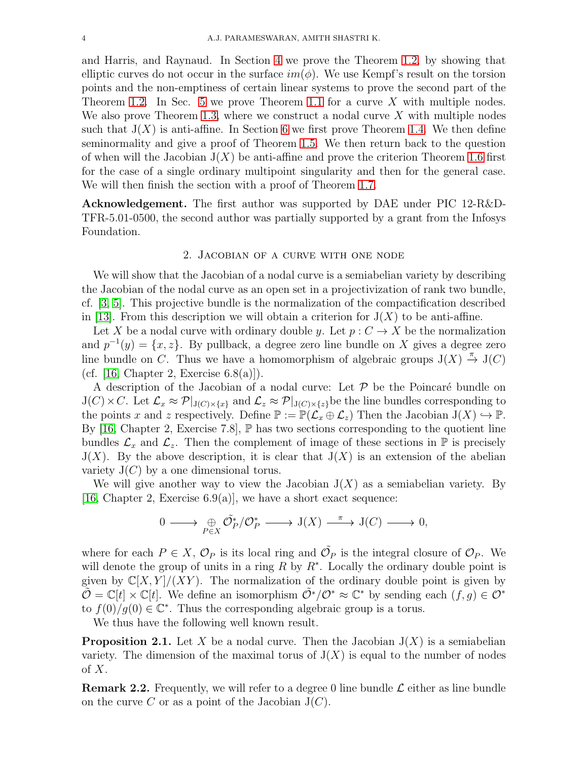and Harris, and Raynaud. In Section [4](#page-7-0) we prove the Theorem [1.2,](#page-1-0) by showing that elliptic curves do not occur in the surface  $im(\phi)$ . We use Kempf's result on the torsion points and the non-emptiness of certain linear systems to prove the second part of the Theorem [1.2.](#page-1-0) In Sec. [5](#page-9-1) we prove Theorem [1.1](#page-1-2) for a curve X with multiple nodes. We also prove Theorem [1.3,](#page-1-1) where we construct a nodal curve  $X$  with multiple nodes such that  $J(X)$  is anti-affine. In Section [6](#page-10-2) we first prove Theorem [1.4.](#page-1-3) We then define seminormality and give a proof of Theorem [1.5.](#page-2-0) We then return back to the question of when will the Jacobian  $J(X)$  be anti-affine and prove the criterion Theorem [1.6](#page-2-1) first for the case of a single ordinary multipoint singularity and then for the general case. We will then finish the section with a proof of Theorem [1.7.](#page-2-2)

<span id="page-3-0"></span>Acknowledgement. The first author was supported by DAE under PIC 12-R&D-TFR-5.01-0500, the second author was partially supported by a grant from the Infosys Foundation.

### 2. Jacobian of a curve with one node

We will show that the Jacobian of a nodal curve is a semiabelian variety by describing the Jacobian of the nodal curve as an open set in a projectivization of rank two bundle, cf. [\[3,](#page-14-0) [5\]](#page-14-1). This projective bundle is the normalization of the compactification described in [\[13\]](#page-15-0). From this description we will obtain a criterion for  $J(X)$  to be anti-affine.

Let X be a nodal curve with ordinary double y. Let  $p : C \to X$  be the normalization and  $p^{-1}(y) = \{x, z\}$ . By pullback, a degree zero line bundle on X gives a degree zero line bundle on C. Thus we have a homomorphism of algebraic groups  $J(X) \stackrel{\pi}{\to} J(C)$ (cf.  $[16, Chapter 2, Exercise 6.8(a)]$ ).

A description of the Jacobian of a nodal curve: Let  $\mathcal P$  be the Poincaré bundle on  $J(C)\times C$ . Let  $\mathcal{L}_x \approx \mathcal{P}|_{J(C)\times\{x\}}$  and  $\mathcal{L}_z \approx \mathcal{P}|_{J(C)\times\{z\}}$  be the line bundles corresponding to the points x and z respectively. Define  $\mathbb{P} := \mathbb{P}(\mathcal{L}_x \oplus \mathcal{L}_z)$  Then the Jacobian  $J(X) \hookrightarrow \mathbb{P}$ . By [\[16,](#page-15-9) Chapter 2, Exercise 7.8],  $\mathbb P$  has two sections corresponding to the quotient line bundles  $\mathcal{L}_x$  and  $\mathcal{L}_z$ . Then the complement of image of these sections in  $\mathbb P$  is precisely  $J(X)$ . By the above description, it is clear that  $J(X)$  is an extension of the abelian variety  $J(C)$  by a one dimensional torus.

We will give another way to view the Jacobian  $J(X)$  as a semiabelian variety. By [\[16,](#page-15-9) Chapter 2, Exercise  $6.9(a)$ ], we have a short exact sequence:

$$
0 \longrightarrow \bigoplus_{P \in X} \tilde{\mathcal{O}}_P^* / \mathcal{O}_P^* \longrightarrow \mathcal{J}(X) \longrightarrow \mathcal{J}(C) \longrightarrow 0,
$$

where for each  $P \in X$ ,  $\mathcal{O}_P$  is its local ring and  $\tilde{\mathcal{O}}_P$  is the integral closure of  $\mathcal{O}_P$ . We will denote the group of units in a ring  $R$  by  $R^*$ . Locally the ordinary double point is given by  $\mathbb{C}[X, Y]/(XY)$ . The normalization of the ordinary double point is given by  $\tilde{\mathcal{O}} = \mathbb{C}[t] \times \mathbb{C}[t]$ . We define an isomorphism  $\tilde{\mathcal{O}}^*/\mathcal{O}^* \approx \mathbb{C}^*$  by sending each  $(f, g) \in \mathcal{O}^*$ to  $f(0)/g(0) \in \mathbb{C}^*$ . Thus the corresponding algebraic group is a torus.

We thus have the following well known result.

<span id="page-3-1"></span>**Proposition 2.1.** Let X be a nodal curve. Then the Jacobian  $J(X)$  is a semiabelian variety. The dimension of the maximal torus of  $J(X)$  is equal to the number of nodes of  $X$ .

**Remark 2.2.** Frequently, we will refer to a degree 0 line bundle  $\mathcal{L}$  either as line bundle on the curve C or as a point of the Jacobian  $J(C)$ .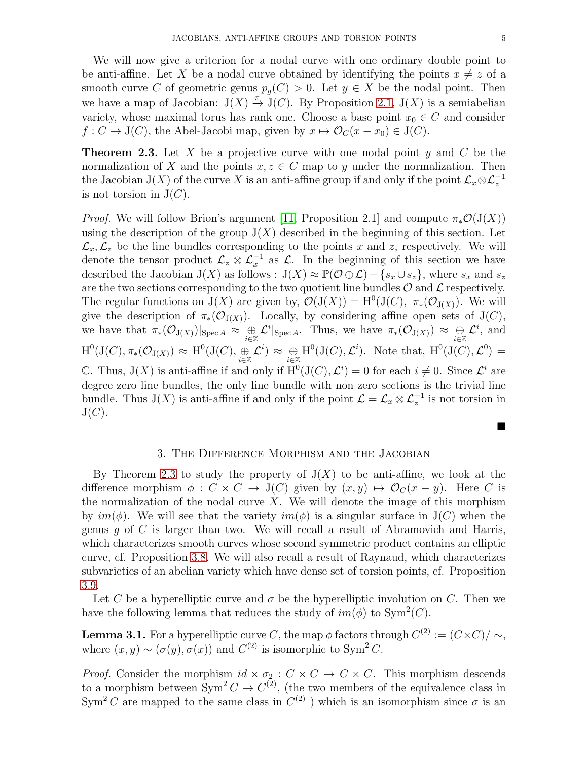We will now give a criterion for a nodal curve with one ordinary double point to be anti-affine. Let X be a nodal curve obtained by identifying the points  $x \neq z$  of a smooth curve C of geometric genus  $p_q(C) > 0$ . Let  $y \in X$  be the nodal point. Then we have a map of Jacobian:  $J(X) \stackrel{\pi}{\rightarrow} J(C)$ . By Proposition [2.1,](#page-3-1)  $J(X)$  is a semiabelian variety, whose maximal torus has rank one. Choose a base point  $x_0 \in C$  and consider  $f: C \to J(C)$ , the Abel-Jacobi map, given by  $x \mapsto \mathcal{O}_C(x - x_0) \in J(C)$ .

<span id="page-4-1"></span>**Theorem 2.3.** Let X be a projective curve with one nodal point y and C be the normalization of X and the points  $x, z \in C$  map to y under the normalization. Then the Jacobian J(X) of the curve X is an anti-affine group if and only if the point  $\mathcal{L}_x \otimes \mathcal{L}_z^{-1}$ is not torsion in  $J(C)$ .

*Proof.* We will follow Brion's argument [\[11,](#page-15-2) Proposition 2.1] and compute  $\pi_*\mathcal{O}(J(X))$ using the description of the group  $J(X)$  described in the beginning of this section. Let  $\mathcal{L}_x, \mathcal{L}_z$  be the line bundles corresponding to the points x and z, respectively. We will denote the tensor product  $\mathcal{L}_z \otimes \mathcal{L}_x^{-1}$  as  $\mathcal{L}$ . In the beginning of this section we have described the Jacobian J(X) as follows :  $J(X) \approx \mathbb{P}(\mathcal{O} \oplus \mathcal{L}) - \{s_x \cup s_z\}$ , where  $s_x$  and  $s_z$ are the two sections corresponding to the two quotient line bundles  $\mathcal O$  and  $\mathcal L$  respectively. The regular functions on  $J(X)$  are given by,  $\mathcal{O}(J(X)) = H^0(J(C), \pi_*(\mathcal{O}_{J(X)}))$ . We will give the description of  $\pi_*(\mathcal{O}_{J(X)})$ . Locally, by considering affine open sets of J(C), we have that  $\pi_*(\mathcal{O}_{J(X)})|_{\text{Spec } A} \approx \bigoplus_{i \in \mathbb{Z}} \mathcal{L}^i|_{\text{Spec } A}$ . Thus, we have  $\pi_*(\mathcal{O}_{J(X)}) \approx \bigoplus_{i \in \mathbb{Z}} \mathcal{L}^i$ , and  $H^0(J(C), \pi_*(\mathcal{O}_{J(X)}) \approx H^0(J(C), \underset{i\in \mathbb{Z}}{\oplus} \mathcal{L}^i) \approx \underset{i\in \mathbb{Z}}{\oplus} H^0(J(C), \mathcal{L}^i)$ . Note that,  $H^0(J(C), \mathcal{L}^0) =$ C. Thus,  $J(X)$  is anti-affine if and only if  $H^0(J(C), \mathcal{L}^i) = 0$  for each  $i \neq 0$ . Since  $\mathcal{L}^i$  are degree zero line bundles, the only line bundle with non zero sections is the trivial line bundle. Thus J(X) is anti-affine if and only if the point  $\mathcal{L} = \mathcal{L}_x \otimes \mathcal{L}_z^{-1}$  is not torsion in  $J(C).$ 

### 3. The Difference Morphism and the Jacobian

<span id="page-4-0"></span>By Theorem [2.3](#page-4-1) to study the property of  $J(X)$  to be anti-affine, we look at the difference morphism  $\phi : C \times C \to J(C)$  given by  $(x, y) \mapsto \mathcal{O}_C(x - y)$ . Here C is the normalization of the nodal curve  $X$ . We will denote the image of this morphism by  $im(\phi)$ . We will see that the variety  $im(\phi)$  is a singular surface in  $J(C)$  when the genus g of C is larger than two. We will recall a result of Abramovich and Harris, which characterizes smooth curves whose second symmetric product contains an elliptic curve, cf. Proposition [3.8.](#page-6-0) We will also recall a result of Raynaud, which characterizes subvarieties of an abelian variety which have dense set of torsion points, cf. Proposition [3.9.](#page-6-1)

Let C be a hyperelliptic curve and  $\sigma$  be the hyperelliptic involution on C. Then we have the following lemma that reduces the study of  $im(\phi)$  to  $Sym^2(C)$ .

<span id="page-4-2"></span>**Lemma 3.1.** For a hyperelliptic curve C, the map  $\phi$  factors through  $C^{(2)} := (C \times C)/\sim$ , where  $(x, y) \sim (\sigma(y), \sigma(x))$  and  $C^{(2)}$  is isomorphic to Sym<sup>2</sup> C.

*Proof.* Consider the morphism  $id \times \sigma_2 : C \times C \rightarrow C \times C$ . This morphism descends to a morphism between  $Sym^2 C \to C^{(2)}$ , (the two members of the equivalence class in Sym<sup>2</sup>C are mapped to the same class in  $C^{(2)}$ ) which is an isomorphism since  $\sigma$  is an

■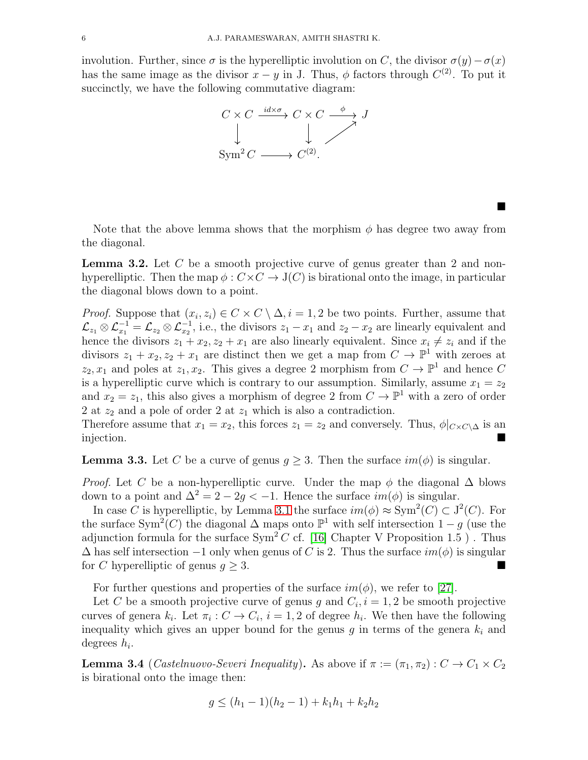involution. Further, since  $\sigma$  is the hyperelliptic involution on C, the divisor  $\sigma(y) - \sigma(x)$ has the same image as the divisor  $x - y$  in J. Thus,  $\phi$  factors through  $C^{(2)}$ . To put it succinctly, we have the following commutative diagram:



Note that the above lemma shows that the morphism  $\phi$  has degree two away from the diagonal.

 $\blacksquare$ 

<span id="page-5-2"></span>**Lemma 3.2.** Let  $C$  be a smooth projective curve of genus greater than 2 and nonhyperelliptic. Then the map  $\phi: C \times C \rightarrow J(C)$  is birational onto the image, in particular the diagonal blows down to a point.

*Proof.* Suppose that  $(x_i, z_i) \in C \times C \setminus \Delta$ ,  $i = 1, 2$  be two points. Further, assume that  $\mathcal{L}_{z_1} \otimes \mathcal{L}_{x_1}^{-1} = \mathcal{L}_{z_2} \otimes \mathcal{L}_{x_2}^{-1}$ , i.e., the divisors  $z_1 - x_1$  and  $z_2 - x_2$  are linearly equivalent and hence the divisors  $z_1 + x_2, z_2 + x_1$  are also linearly equivalent. Since  $x_i \neq z_i$  and if the divisors  $z_1 + x_2, z_2 + x_1$  are distinct then we get a map from  $C \to \mathbb{P}^1$  with zeroes at  $z_2, x_1$  and poles at  $z_1, x_2$ . This gives a degree 2 morphism from  $C \to \mathbb{P}^1$  and hence C is a hyperelliptic curve which is contrary to our assumption. Similarly, assume  $x_1 = z_2$ and  $x_2 = z_1$ , this also gives a morphism of degree 2 from  $C \to \mathbb{P}^1$  with a zero of order 2 at  $z_2$  and a pole of order 2 at  $z_1$  which is also a contradiction.

Therefore assume that  $x_1 = x_2$ , this forces  $z_1 = z_2$  and conversely. Thus,  $\phi|_{C \times C \setminus \Delta}$  is an injection.

<span id="page-5-0"></span>**Lemma 3.3.** Let C be a curve of genus  $g \geq 3$ . Then the surface  $im(\phi)$  is singular.

*Proof.* Let C be a non-hyperelliptic curve. Under the map  $\phi$  the diagonal  $\Delta$  blows down to a point and  $\Delta^2 = 2 - 2q < -1$ . Hence the surface  $im(\phi)$  is singular.

In case C is hyperelliptic, by Lemma [3.1](#page-4-2) the surface  $im(\phi) \approx Sym^2(C) \subset J^2(C)$ . For the surface Sym<sup>2</sup>(C) the diagonal  $\Delta$  maps onto  $\mathbb{P}^1$  with self intersection  $1-g$  (use the adjunction formula for the surface  $Sym^2 C$  cf. [\[16\]](#page-15-9) Chapter V Proposition 1.5). Thus  $\Delta$  has self intersection  $-1$  only when genus of C is 2. Thus the surface  $im(\phi)$  is singular for C hyperelliptic of genus  $g \geq 3$ .

For further questions and properties of the surface  $im(\phi)$ , we refer to [\[27\]](#page-15-10).

Let C be a smooth projective curve of genus g and  $C_i$ ,  $i = 1, 2$  be smooth projective curves of genera  $k_i$ . Let  $\pi_i : C \to C_i$ ,  $i = 1, 2$  of degree  $h_i$ . We then have the following inequality which gives an upper bound for the genus g in terms of the genera  $k_i$  and degrees  $h_i$ .

<span id="page-5-1"></span>**Lemma 3.4** (*Castelnuovo-Severi Inequality*). As above if  $\pi := (\pi_1, \pi_2) : C \to C_1 \times C_2$ is birational onto the image then:

$$
g \le (h_1 - 1)(h_2 - 1) + k_1 h_1 + k_2 h_2
$$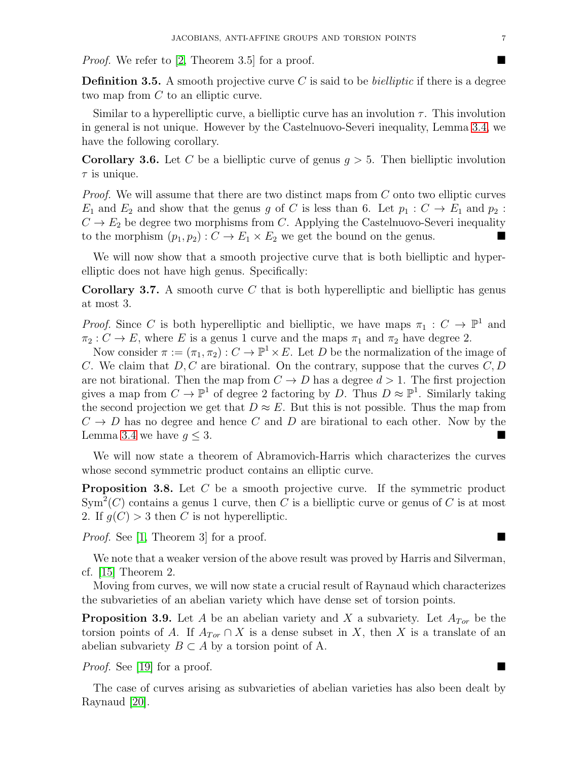*Proof.* We refer to [\[2,](#page-14-2) Theorem 3.5] for a proof.

**Definition 3.5.** A smooth projective curve C is said to be *bielliptic* if there is a degree two map from C to an elliptic curve.

Similar to a hyperelliptic curve, a bielliptic curve has an involution  $\tau$ . This involution in general is not unique. However by the Castelnuovo-Severi inequality, Lemma [3.4,](#page-5-1) we have the following corollary.

**Corollary 3.6.** Let C be a bielliptic curve of genus  $q > 5$ . Then bielliptic involution  $\tau$  is unique.

*Proof.* We will assume that there are two distinct maps from C onto two elliptic curves  $E_1$  and  $E_2$  and show that the genus g of C is less than 6. Let  $p_1 : C \to E_1$  and  $p_2 :$  $C \rightarrow E_2$  be degree two morphisms from C. Applying the Castelnuovo-Severi inequality to the morphism  $(p_1, p_2)$ :  $C \rightarrow E_1 \times E_2$  we get the bound on the genus.

We will now show that a smooth projective curve that is both bielliptic and hyperelliptic does not have high genus. Specifically:

<span id="page-6-2"></span>**Corollary 3.7.** A smooth curve  $C$  that is both hyperelliptic and bielliptic has genus at most 3.

*Proof.* Since C is both hyperelliptic and bielliptic, we have maps  $\pi_1 : C \to \mathbb{P}^1$  and  $\pi_2 : C \to E$ , where E is a genus 1 curve and the maps  $\pi_1$  and  $\pi_2$  have degree 2.

Now consider  $\pi := (\pi_1, \pi_2) : C \to \mathbb{P}^1 \times E$ . Let D be the normalization of the image of C. We claim that  $D, C$  are birational. On the contrary, suppose that the curves  $C, D$ are not birational. Then the map from  $C \to D$  has a degree  $d > 1$ . The first projection gives a map from  $C \to \mathbb{P}^1$  of degree 2 factoring by D. Thus  $D \approx \mathbb{P}^1$ . Similarly taking the second projection we get that  $D \approx E$ . But this is not possible. Thus the map from  $C \rightarrow D$  has no degree and hence C and D are birational to each other. Now by the Lemma [3.4](#page-5-1) we have  $q \leq 3$ .

We will now state a theorem of Abramovich-Harris which characterizes the curves whose second symmetric product contains an elliptic curve.

<span id="page-6-0"></span>**Proposition 3.8.** Let  $C$  be a smooth projective curve. If the symmetric product  $\text{Sym}^2(C)$  contains a genus 1 curve, then C is a bielliptic curve or genus of C is at most 2. If  $g(C) > 3$  then C is not hyperelliptic.

Proof. See [\[1,](#page-14-3) Theorem 3] for a proof.

We note that a weaker version of the above result was proved by Harris and Silverman, cf. [\[15\]](#page-15-11) Theorem 2.

Moving from curves, we will now state a crucial result of Raynaud which characterizes the subvarieties of an abelian variety which have dense set of torsion points.

<span id="page-6-1"></span>**Proposition 3.9.** Let A be an abelian variety and X a subvariety. Let  $A_{Tor}$  be the torsion points of A. If  $A_{Tor} \cap X$  is a dense subset in X, then X is a translate of an abelian subvariety  $B \subset A$  by a torsion point of A.

Proof. See [\[19\]](#page-15-12) for a proof.

The case of curves arising as subvarieties of abelian varieties has also been dealt by Raynaud [\[20\]](#page-15-13).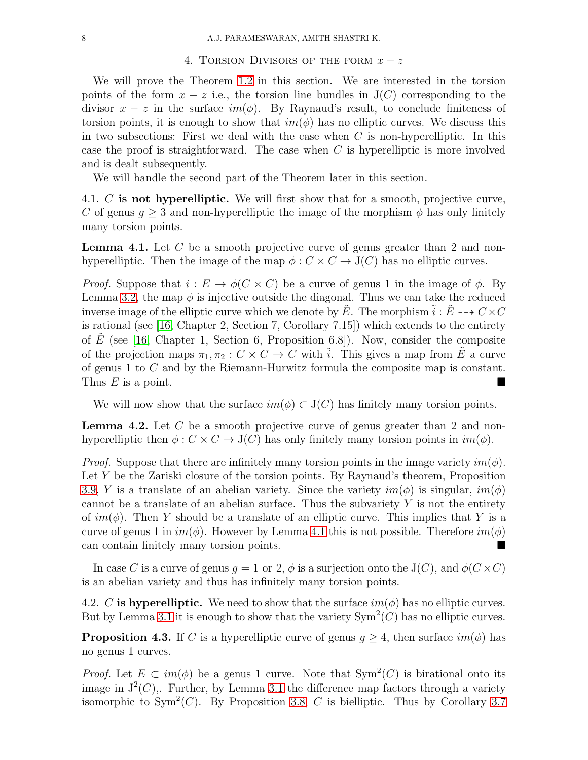#### 4. TORSION DIVISORS OF THE FORM  $x - z$

<span id="page-7-0"></span>We will prove the Theorem [1.2](#page-1-0) in this section. We are interested in the torsion points of the form  $x - z$  i.e., the torsion line bundles in  $J(C)$  corresponding to the divisor  $x - z$  in the surface  $im(\phi)$ . By Raynaud's result, to conclude finiteness of torsion points, it is enough to show that  $im(\phi)$  has no elliptic curves. We discuss this in two subsections: First we deal with the case when  $C$  is non-hyperelliptic. In this case the proof is straightforward. The case when  $C$  is hyperelliptic is more involved and is dealt subsequently.

We will handle the second part of the Theorem later in this section.

4.1. C is not hyperelliptic. We will first show that for a smooth, projective curve, C of genus  $q > 3$  and non-hyperelliptic the image of the morphism  $\phi$  has only finitely many torsion points.

<span id="page-7-1"></span>Lemma 4.1. Let C be a smooth projective curve of genus greater than 2 and nonhyperelliptic. Then the image of the map  $\phi : C \times C \rightarrow J(C)$  has no elliptic curves.

*Proof.* Suppose that  $i : E \to \phi(C \times C)$  be a curve of genus 1 in the image of  $\phi$ . By Lemma [3.2,](#page-5-2) the map  $\phi$  is injective outside the diagonal. Thus we can take the reduced inverse image of the elliptic curve which we denote by E. The morphism  $\tilde{i}: E \dashrightarrow C \times C$ is rational (see [\[16,](#page-15-9) Chapter 2, Section 7, Corollary 7.15]) which extends to the entirety of E (see [\[16,](#page-15-9) Chapter 1, Section 6, Proposition 6.8]). Now, consider the composite of the projection maps  $\pi_1, \pi_2 : C \times C \to C$  with  $\tilde{i}$ . This gives a map from  $\tilde{E}$  a curve of genus 1 to C and by the Riemann-Hurwitz formula the composite map is constant. Thus  $E$  is a point.

We will now show that the surface  $im(\phi) \subset J(C)$  has finitely many torsion points.

**Lemma 4.2.** Let C be a smooth projective curve of genus greater than 2 and nonhyperelliptic then  $\phi : C \times C \to J(C)$  has only finitely many torsion points in  $im(\phi)$ .

*Proof.* Suppose that there are infinitely many torsion points in the image variety  $im(\phi)$ . Let Y be the Zariski closure of the torsion points. By Raynaud's theorem, Proposition [3.9,](#page-6-1) Y is a translate of an abelian variety. Since the variety  $im(\phi)$  is singular,  $im(\phi)$ cannot be a translate of an abelian surface. Thus the subvariety  $Y$  is not the entirety of  $im(\phi)$ . Then Y should be a translate of an elliptic curve. This implies that Y is a curve of genus 1 in  $im(\phi)$ . However by Lemma [4.1](#page-7-1) this is not possible. Therefore  $im(\phi)$ can contain finitely many torsion points.

In case C is a curve of genus  $q = 1$  or 2,  $\phi$  is a surjection onto the J(C), and  $\phi(C \times C)$ is an abelian variety and thus has infinitely many torsion points.

4.2. C is hyperelliptic. We need to show that the surface  $im(\phi)$  has no elliptic curves. But by Lemma [3.1](#page-4-2) it is enough to show that the variety  $Sym^2(C)$  has no elliptic curves.

<span id="page-7-2"></span>**Proposition 4.3.** If C is a hyperelliptic curve of genus  $g \geq 4$ , then surface  $im(\phi)$  has no genus 1 curves.

*Proof.* Let  $E \subset im(\phi)$  be a genus 1 curve. Note that  $Sym^2(C)$  is birational onto its image in  $J^2(C)$ . Further, by Lemma [3.1](#page-4-2) the difference map factors through a variety isomorphic to Sym<sup>2</sup>(C). By Proposition [3.8,](#page-6-0) C is bielliptic. Thus by Corollary [3.7](#page-6-2)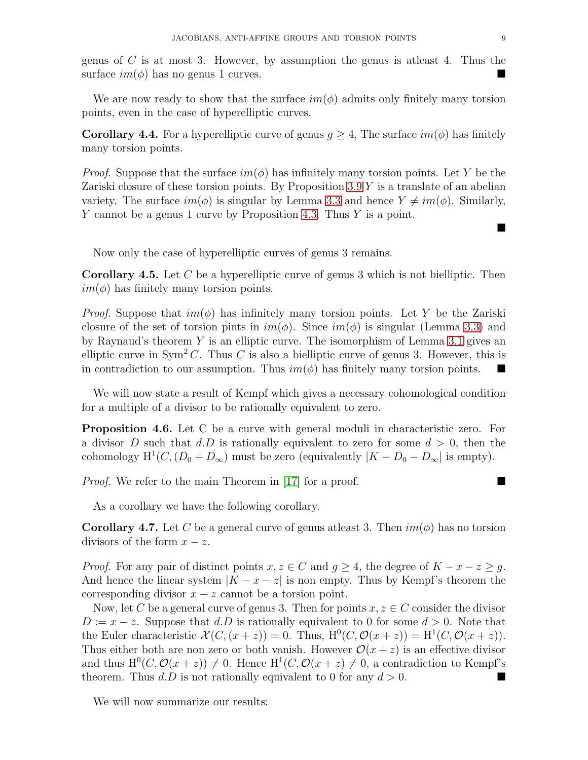genus of  $C$  is at most 3. However, by assumption the genus is at least 4. Thus the surface  $im(\phi)$  has no genus 1 curves.

We are now ready to show that the surface  $im(\phi)$  admits only finitely many torsion points, even in the case of hyperelliptic curves.

**Corollary 4.4.** For a hyperelliptic curve of genus  $g \geq 4$ , The surface  $im(\phi)$  has finitely many torsion points.

*Proof.* Suppose that the surface  $im(\phi)$  has infinitely many torsion points. Let Y be the Zariski closure of these torsion points. By Proposition  $3.9 Y$  is a translate of an abelian variety. The surface  $im(\phi)$  is singular by Lemma [3.3](#page-5-0) and hence  $Y \neq im(\phi)$ . Similarly, Y cannot be a genus 1 curve by Proposition [4.3.](#page-7-2) Thus Y is a point.

Now only the case of hyperelliptic curves of genus 3 remains.

**Corollary 4.5.** Let C be a hyperelliptic curve of genus 3 which is not bielliptic. Then  $im(\phi)$  has finitely many torsion points.

*Proof.* Suppose that  $im(\phi)$  has infinitely many torsion points. Let Y be the Zariski closure of the set of torsion pints in  $im(\phi)$ . Since  $im(\phi)$  is singular (Lemma [3.3\)](#page-5-0) and by Raynaud's theorem Y is an elliptic curve. The isomorphism of Lemma [3.1](#page-4-2) gives an elliptic curve in  $Sym^2 C$ . Thus C is also a bielliptic curve of genus 3. However, this is in contradiction to our assumption. Thus  $im(\phi)$  has finitely many torsion points.

We will now state a result of Kempf which gives a necessary cohomological condition for a multiple of a divisor to be rationally equivalent to zero.

Proposition 4.6. Let C be a curve with general moduli in characteristic zero. For a divisor D such that d.D is rationally equivalent to zero for some  $d > 0$ , then the cohomology  $H^1(C, (D_0 + D_{\infty})$  must be zero (equivalently  $|K - D_0 - D_{\infty}|$  is empty).

**Proof.** We refer to the main Theorem in [\[17\]](#page-15-14) for a proof.

As a corollary we have the following corollary.

**Corollary 4.7.** Let C be a general curve of genus at least 3. Then  $im(\phi)$  has no torsion divisors of the form  $x - z$ .

*Proof.* For any pair of distinct points  $x, z \in C$  and  $g \ge 4$ , the degree of  $K - x - z \ge g$ . And hence the linear system  $|K - x - z|$  is non empty. Thus by Kempf's theorem the corresponding divisor  $x - z$  cannot be a torsion point.

Now, let C be a general curve of genus 3. Then for points  $x, z \in C$  consider the divisor  $D := x - z$ . Suppose that d.D is rationally equivalent to 0 for some  $d > 0$ . Note that the Euler characteristic  $\mathcal{X}(C, (x+z)) = 0$ . Thus,  $H^0(C, \mathcal{O}(x+z)) = H^1(C, \mathcal{O}(x+z))$ . Thus either both are non zero or both vanish. However  $\mathcal{O}(x+z)$  is an effective divisor and thus  $H^0(C, \mathcal{O}(x+z)) \neq 0$ . Hence  $H^1(C, \mathcal{O}(x+z) \neq 0$ , a contradiction to Kempf's theorem. Thus  $d.D$  is not rationally equivalent to 0 for any  $d > 0$ .

We will now summarize our results:

 $\blacksquare$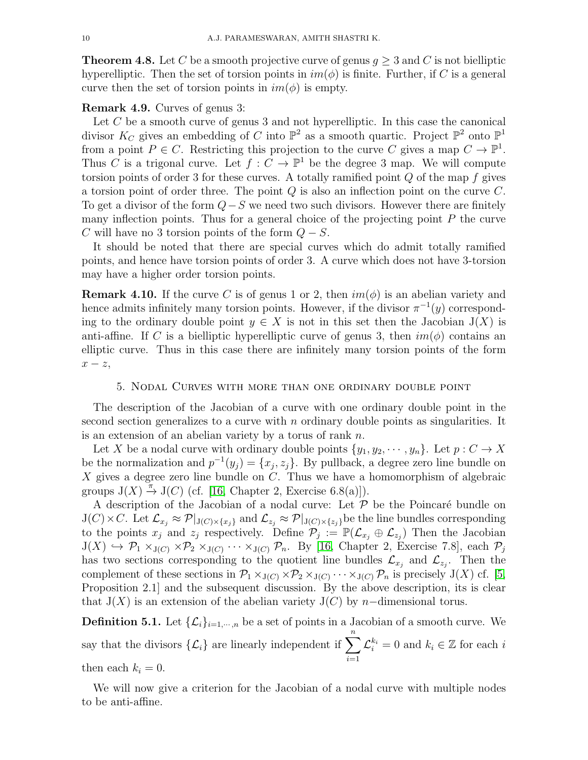<span id="page-9-2"></span>**Theorem 4.8.** Let C be a smooth projective curve of genus  $q > 3$  and C is not bielliptic hyperelliptic. Then the set of torsion points in  $im(\phi)$  is finite. Further, if C is a general curve then the set of torsion points in  $im(\phi)$  is empty.

## Remark 4.9. Curves of genus 3:

Let  $C$  be a smooth curve of genus 3 and not hyperelliptic. In this case the canonical divisor  $K_C$  gives an embedding of C into  $\mathbb{P}^2$  as a smooth quartic. Project  $\mathbb{P}^2$  onto  $\mathbb{P}^1$ from a point  $P \in C$ . Restricting this projection to the curve C gives a map  $C \to \mathbb{P}^1$ . Thus C is a trigonal curve. Let  $f: C \to \mathbb{P}^1$  be the degree 3 map. We will compute torsion points of order 3 for these curves. A totally ramified point  $Q$  of the map  $f$  gives a torsion point of order three. The point  $Q$  is also an inflection point on the curve  $C$ . To get a divisor of the form  $Q-S$  we need two such divisors. However there are finitely many inflection points. Thus for a general choice of the projecting point  $P$  the curve C will have no 3 torsion points of the form  $Q - S$ .

It should be noted that there are special curves which do admit totally ramified points, and hence have torsion points of order 3. A curve which does not have 3-torsion may have a higher order torsion points.

**Remark 4.10.** If the curve C is of genus 1 or 2, then  $im(\phi)$  is an abelian variety and hence admits infinitely many torsion points. However, if the divisor  $\pi^{-1}(y)$  corresponding to the ordinary double point  $y \in X$  is not in this set then the Jacobian  $J(X)$  is anti-affine. If C is a bielliptic hyperelliptic curve of genus 3, then  $im(\phi)$  contains an elliptic curve. Thus in this case there are infinitely many torsion points of the form  $x - z$ ,

### 5. Nodal Curves with more than one ordinary double point

<span id="page-9-1"></span>The description of the Jacobian of a curve with one ordinary double point in the second section generalizes to a curve with  $n$  ordinary double points as singularities. It is an extension of an abelian variety by a torus of rank n.

Let X be a nodal curve with ordinary double points  $\{y_1, y_2, \dots, y_n\}$ . Let  $p: C \to X$ be the normalization and  $p^{-1}(y_j) = \{x_j, z_j\}$ . By pullback, a degree zero line bundle on  $X$  gives a degree zero line bundle on  $C$ . Thus we have a homomorphism of algebraic groups  $J(X) \stackrel{\pi}{\to} J(C)$  (cf. [\[16,](#page-15-9) Chapter 2, Exercise 6.8(a)]).

A description of the Jacobian of a nodal curve: Let  $P$  be the Poincaré bundle on  $J(C)\times C$ . Let  $\mathcal{L}_{x_j}\approx \mathcal{P}|_{J(C)\times \{x_j\}}$  and  $\mathcal{L}_{z_j}\approx \mathcal{P}|_{J(C)\times \{z_j\}}$  be the line bundles corresponding to the points  $x_j$  and  $z_j$  respectively. Define  $\mathcal{P}_j := \mathbb{P}(\mathcal{L}_{x_j} \oplus \mathcal{L}_{z_j})$  Then the Jacobian  $J(X) \hookrightarrow \mathcal{P}_1 \times_{J(C)} \times \mathcal{P}_2 \times_{J(C)} \cdots \times_{J(C)} \mathcal{P}_n$ . By [\[16,](#page-15-9) Chapter 2, Exercise 7.8], each  $\mathcal{P}_j$ has two sections corresponding to the quotient line bundles  $\mathcal{L}_{x_j}$  and  $\mathcal{L}_{z_j}$ . Then the complement of these sections in  $\mathcal{P}_1 \times_{J(C)} \times \mathcal{P}_2 \times_{J(C)} \cdots \times_{J(C)} \mathcal{P}_n$  is precisely  $J(X)$  cf. [\[5,](#page-14-1) Proposition 2.1] and the subsequent discussion. By the above description, its is clear that  $J(X)$  is an extension of the abelian variety  $J(C)$  by n–dimensional torus.

<span id="page-9-0"></span>**Definition 5.1.** Let  $\{\mathcal{L}_i\}_{i=1,\dots,n}$  be a set of points in a Jacobian of a smooth curve. We say that the divisors  $\{\mathcal{L}_i\}$  are linearly independent if  $\sum_{n=1}^n$  $i=1$  $\mathcal{L}_i^{k_i} = 0$  and  $k_i \in \mathbb{Z}$  for each i then each  $k_i = 0$ .

We will now give a criterion for the Jacobian of a nodal curve with multiple nodes to be anti-affine.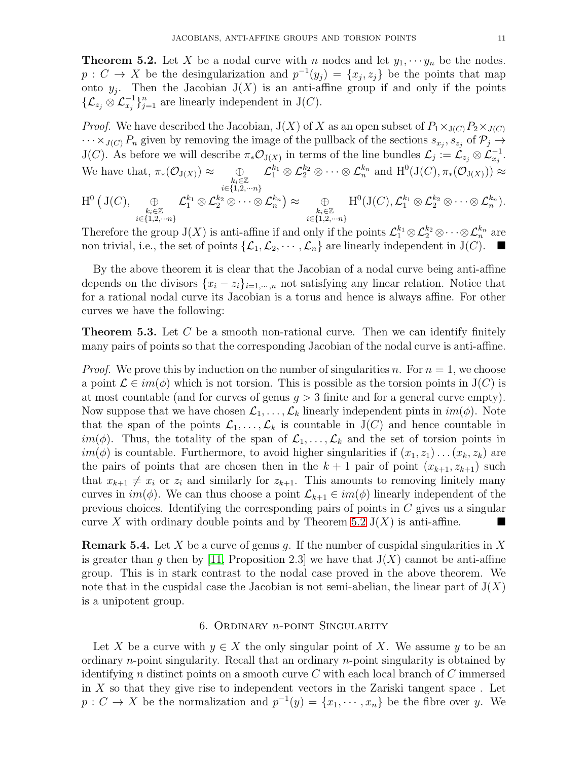<span id="page-10-3"></span>**Theorem 5.2.** Let X be a nodal curve with n nodes and let  $y_1, \dots, y_n$  be the nodes.  $p: C \to X$  be the desingularization and  $p^{-1}(y_j) = \{x_j, z_j\}$  be the points that map onto  $y_j$ . Then the Jacobian  $J(X)$  is an anti-affine group if and only if the points  $\{\mathcal{L}_{z_j} \otimes \mathcal{L}_{x_j}^{-1}\}_{j=1}^n$  are linearly independent in J(C).

*Proof.* We have described the Jacobian,  $J(X)$  of X as an open subset of  $P_1 \times_{J(C)} P_2 \times_{J(C)}$  $\cdots \times_{J(C)} P_n$  given by removing the image of the pullback of the sections  $s_{x_j}, s_{z_j}$  of  $\mathcal{P}_j \to$  $J(C)$ . As before we will describe  $\pi_* \mathcal{O}_{J(X)}$  in terms of the line bundles  $\mathcal{L}_j := \mathcal{L}_{z_j} \otimes \mathcal{L}_{x_j}^{-1}$ . We have that,  $\pi_*(\mathcal{O}_{J(X)}) \approx \bigoplus_{\substack{k_i \in \mathbb{Z} \\ i \in \{1,2,\cdots n\}}}$  $\mathcal{L}_1^{k_1}\otimes \mathcal{L}_2^{k_2}\otimes \cdots \otimes \mathcal{L}_n^{k_n}$  and  $\mathrm{H}^0(\mathrm{J}(C),\pi_*(\mathcal{O}_{\mathrm{J}(X)})) \approx$  $\mathrm{H}^0\left(\,\mathrm{J}(C),\quad \ \ \oplus$  $k_i \in \mathbb{Z}$ <br> $i \in \{1,2,\dots n\}$  ${\cal L}_1^{k_1}\otimes {\cal L}_2^{k_2}\otimes \cdots \otimes {\cal L}_n^{k_n} \big)\approx \quad \quad \oplus \quad$  $k_i \in \mathbb{Z}$ <br> $i \in \{1,2,\dots n\}$  ${\rm H}^{0}({\rm J}(C), {\mathcal L}_{1}^{k_{1}}\otimes {\mathcal L}_{2}^{k_{2}}\otimes\cdots\otimes {\mathcal L}_{n}^{k_{n}}).$ 

Therefore the group  $J(X)$  is anti-affine if and only if the points  $\mathcal{L}_1^{k_1} \otimes \mathcal{L}_2^{k_2} \otimes \cdots \otimes \mathcal{L}_n^{k_n}$  are non trivial, i.e., the set of points  $\{\mathcal{L}_1,\mathcal{L}_2,\cdots,\mathcal{L}_n\}$  are linearly independent in  $J(C)$ .

By the above theorem it is clear that the Jacobian of a nodal curve being anti-affine depends on the divisors  $\{x_i - z_i\}_{i=1,\dots,n}$  not satisfying any linear relation. Notice that for a rational nodal curve its Jacobian is a torus and hence is always affine. For other curves we have the following:

<span id="page-10-0"></span>**Theorem 5.3.** Let  $C$  be a smooth non-rational curve. Then we can identify finitely many pairs of points so that the corresponding Jacobian of the nodal curve is anti-affine.

*Proof.* We prove this by induction on the number of singularities n. For  $n = 1$ , we choose a point  $\mathcal{L} \in im(\phi)$  which is not torsion. This is possible as the torsion points in  $J(C)$  is at most countable (and for curves of genus  $g > 3$  finite and for a general curve empty). Now suppose that we have chosen  $\mathcal{L}_1, \ldots, \mathcal{L}_k$  linearly independent pints in  $im(\phi)$ . Note that the span of the points  $\mathcal{L}_1, \ldots, \mathcal{L}_k$  is countable in  $J(C)$  and hence countable in im( $\phi$ ). Thus, the totality of the span of  $\mathcal{L}_1, \ldots, \mathcal{L}_k$  and the set of torsion points in  $im(\phi)$  is countable. Furthermore, to avoid higher singularities if  $(x_1, z_1) \dots (x_k, z_k)$  are the pairs of points that are chosen then in the  $k + 1$  pair of point  $(x_{k+1}, z_{k+1})$  such that  $x_{k+1} \neq x_i$  or  $z_i$  and similarly for  $z_{k+1}$ . This amounts to removing finitely many curves in  $im(\phi)$ . We can thus choose a point  $\mathcal{L}_{k+1} \in im(\phi)$  linearly independent of the previous choices. Identifying the corresponding pairs of points in  $C$  gives us a singular curve X with ordinary double points and by Theorem [5.2](#page-10-3) J(X) is anti-affine.

<span id="page-10-1"></span>**Remark 5.4.** Let X be a curve of genus g. If the number of cuspidal singularities in X is greater than g then by [\[11,](#page-15-2) Proposition 2.3] we have that  $J(X)$  cannot be anti-affine group. This is in stark contrast to the nodal case proved in the above theorem. We note that in the cuspidal case the Jacobian is not semi-abelian, the linear part of  $J(X)$ is a unipotent group.

## 6. Ordinary n-point Singularity

<span id="page-10-2"></span>Let X be a curve with  $y \in X$  the only singular point of X. We assume y to be an ordinary n-point singularity. Recall that an ordinary n-point singularity is obtained by identifying n distinct points on a smooth curve  $C$  with each local branch of  $C$  immersed in  $X$  so that they give rise to independent vectors in the Zariski tangent space. Let  $p: C \to X$  be the normalization and  $p^{-1}(y) = \{x_1, \dots, x_n\}$  be the fibre over y. We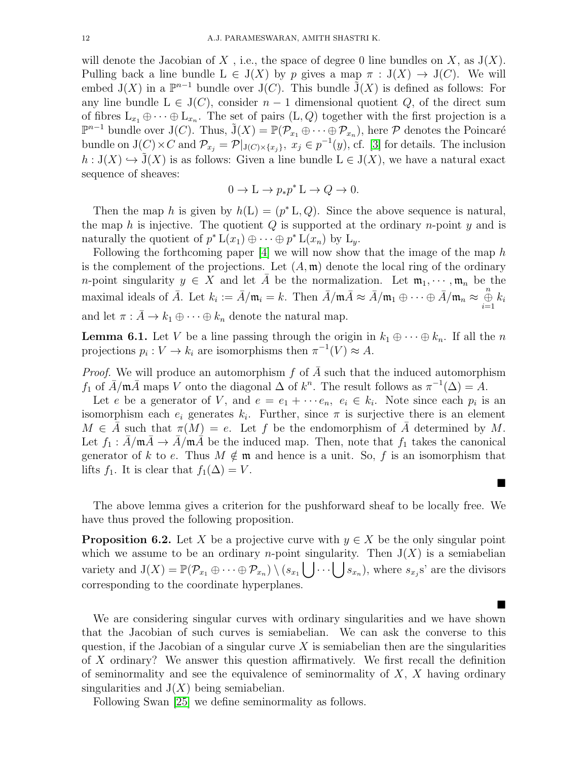will denote the Jacobian of X, i.e., the space of degree 0 line bundles on X, as  $J(X)$ . Pulling back a line bundle  $L \in J(X)$  by p gives a map  $\pi : J(X) \to J(C)$ . We will embed  $J(X)$  in a  $\mathbb{P}^{n-1}$  bundle over  $J(C)$ . This bundle  $\tilde{J}(X)$  is defined as follows: For any line bundle  $L \in J(C)$ , consider  $n-1$  dimensional quotient Q, of the direct sum of fibres  $L_{x_1} \oplus \cdots \oplus L_{x_n}$ . The set of pairs  $(L, Q)$  together with the first projection is a  $\mathbb{P}^{n-1}$  bundle over J(C). Thus,  $\tilde{J}(X) = \mathbb{P}(\mathcal{P}_{x_1} \oplus \cdots \oplus \mathcal{P}_{x_n})$ , here  $\mathcal P$  denotes the Poincaré bundle on  $J(C) \times C$  and  $\mathcal{P}_{x_j} = \mathcal{P}|_{J(C) \times \{x_j\}}, x_j \in p^{-1}(y)$ , cf. [\[3\]](#page-14-0) for details. The inclusion  $h: J(X) \hookrightarrow \tilde{J}(X)$  is as follows: Given a line bundle  $L \in J(X)$ , we have a natural exact sequence of sheaves:

$$
0 \to L \to p_*p^*L \to Q \to 0.
$$

Then the map h is given by  $h(L) = (p^* L, Q)$ . Since the above sequence is natural, the map h is injective. The quotient  $Q$  is supported at the ordinary n-point  $\eta$  and is naturally the quotient of  $p^* L(x_1) \oplus \cdots \oplus p^* L(x_n)$  by  $L_y$ .

Following the forthcoming paper  $[4]$  we will now show that the image of the map h is the complement of the projections. Let  $(A, \mathfrak{m})$  denote the local ring of the ordinary *n*-point singularity  $y \in X$  and let A be the normalization. Let  $\mathfrak{m}_1, \dots, \mathfrak{m}_n$  be the maximal ideals of  $\overline{A}$ . Let  $k_i := \overline{A}/\mathfrak{m}_i = k$ . Then  $\overline{A}/\mathfrak{m}_i \approx \overline{A}/\mathfrak{m}_1 \oplus \cdots \oplus \overline{A}/\mathfrak{m}_n \approx \bigoplus_{i=1}^n k_i$ and let  $\pi : \bar{A} \to k_1 \oplus \cdots \oplus k_n$  denote the natural map.

**Lemma 6.1.** Let V be a line passing through the origin in  $k_1 \oplus \cdots \oplus k_n$ . If all the n projections  $p_i: V \to k_i$  are isomorphisms then  $\pi^{-1}(V) \approx A$ .

*Proof.* We will produce an automorphism f of  $\overline{A}$  such that the induced automorphism  $f_1$  of  $\bar{A}/m\bar{A}$  maps V onto the diagonal  $\Delta$  of  $k^n$ . The result follows as  $\pi^{-1}(\Delta) = A$ .

Let e be a generator of V, and  $e = e_1 + \cdots + e_n$ ,  $e_i \in k_i$ . Note since each  $p_i$  is an isomorphism each  $e_i$  generates  $k_i$ . Further, since  $\pi$  is surjective there is an element  $M \in A$  such that  $\pi(M) = e$ . Let f be the endomorphism of  $\overline{A}$  determined by M. Let  $f_1 : A/\mathfrak{m}A \to A/\mathfrak{m}A$  be the induced map. Then, note that  $f_1$  takes the canonical generator of k to e. Thus  $M \notin \mathfrak{m}$  and hence is a unit. So, f is an isomorphism that lifts  $f_1$ . It is clear that  $f_1(\Delta) = V$ .

The above lemma gives a criterion for the pushforward sheaf to be locally free. We have thus proved the following proposition.

 $\blacksquare$ 

ш

<span id="page-11-0"></span>**Proposition 6.2.** Let X be a projective curve with  $y \in X$  be the only singular point which we assume to be an ordinary *n*-point singularity. Then  $J(X)$  is a semiabelian variety and  $J(X) = \mathbb{P}(\mathcal{P}_{x_1} \oplus \cdots \oplus \mathcal{P}_{x_n}) \setminus (s_{x_1} \bigcup \cdots \bigcup s_{x_n})$ , where  $s_{x_j}$ s' are the divisors corresponding to the coordinate hyperplanes.

We are considering singular curves with ordinary singularities and we have shown that the Jacobian of such curves is semiabelian. We can ask the converse to this question, if the Jacobian of a singular curve  $X$  is semiabelian then are the singularities of X ordinary? We answer this question affirmatively. We first recall the definition of seminormality and see the equivalence of seminormality of  $X$ ,  $X$  having ordinary singularities and  $J(X)$  being semiabelian.

Following Swan [\[25\]](#page-15-15) we define seminormality as follows.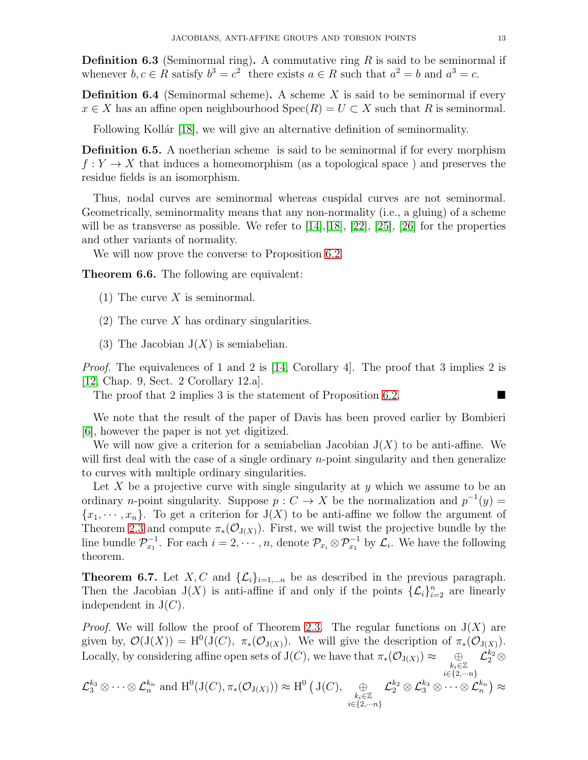**Definition 6.3** (Seminormal ring). A commutative ring  $R$  is said to be seminormal if whenever  $b, c \in R$  satisfy  $b^3 = c^2$  there exists  $a \in R$  such that  $a^2 = b$  and  $a^3 = c$ .

**Definition 6.4** (Seminormal scheme). A scheme  $X$  is said to be seminormal if every  $x \in X$  has an affine open neighbourhood  $Spec(R) = U \subset X$  such that R is seminormal.

Following Kollár [\[18\]](#page-15-16), we will give an alternative definition of seminormality.

<span id="page-12-0"></span>Definition 6.5. A noetherian scheme is said to be seminormal if for every morphism  $f: Y \to X$  that induces a homeomorphism (as a topological space) and preserves the residue fields is an isomorphism.

Thus, nodal curves are seminormal whereas cuspidal curves are not seminormal. Geometrically, seminormality means that any non-normality (i.e., a gluing) of a scheme will be as transverse as possible. We refer to  $[14], [18], [22], [25], [26]$  $[14], [18], [22], [25], [26]$  $[14], [18], [22], [25], [26]$  $[14], [18], [22], [25], [26]$  $[14], [18], [22], [25], [26]$  $[14], [18], [22], [25], [26]$  $[14], [18], [22], [25], [26]$  $[14], [18], [22], [25], [26]$  for the properties and other variants of normality.

We will now prove the converse to Proposition [6.2.](#page-11-0)

<span id="page-12-1"></span>Theorem 6.6. The following are equivalent:

- (1) The curve  $X$  is seminormal.
- (2) The curve  $X$  has ordinary singularities.
- (3) The Jacobian  $J(X)$  is semiabelian.

*Proof.* The equivalences of 1 and 2 is [\[14,](#page-15-7) Corollary 4]. The proof that 3 implies 2 is [\[12,](#page-15-17) Chap. 9, Sect. 2 Corollary 12.a].

The proof that 2 implies 3 is the statement of Proposition [6.2.](#page-11-0)

We note that the result of the paper of Davis has been proved earlier by Bombieri [\[6\]](#page-15-6), however the paper is not yet digitized.

We will now give a criterion for a semiabelian Jacobian  $J(X)$  to be anti-affine. We will first deal with the case of a single ordinary *n*-point singularity and then generalize to curves with multiple ordinary singularities.

Let X be a projective curve with single singularity at  $y$  which we assume to be an ordinary *n*-point singularity. Suppose  $p: C \to X$  be the normalization and  $p^{-1}(y) =$  ${x_1, \dots, x_n}$ . To get a criterion for  $J(X)$  to be anti-affine we follow the argument of Theorem [2.3](#page-4-1) and compute  $\pi_*(\mathcal{O}_{J(X)})$ . First, we will twist the projective bundle by the line bundle  $\mathcal{P}_{x_1}^{-1}$ . For each  $i=2,\cdots,n$ , denote  $\mathcal{P}_{x_i}\otimes \mathcal{P}_{x_1}^{-1}$  by  $\mathcal{L}_i$ . We have the following theorem.

<span id="page-12-2"></span>**Theorem 6.7.** Let X, C and  $\{\mathcal{L}_i\}_{i=1,...n}$  be as described in the previous paragraph. Then the Jacobian  $J(X)$  is anti-affine if and only if the points  $\{\mathcal{L}_i\}_{i=2}^n$  are linearly independent in  $J(C)$ .

*Proof.* We will follow the proof of Theorem [2.3.](#page-4-1) The regular functions on  $J(X)$  are given by,  $\mathcal{O}(J(X)) = H^0(J(C), \pi_*(\mathcal{O}_{J(X)})).$  We will give the description of  $\pi_*(\mathcal{O}_{J(X)})$ . Locally, by considering affine open sets of  $J(C)$ , we have that  $\pi_*(\mathcal{O}_{J(X)}) \approx$  $\sum\limits_{i \in \{2,\cdots n\}}^{k_i \in \mathbb{Z}}$  $\mathcal{L}_2^{k_2} \otimes$ 

$$
\mathcal{L}_3^{k_3}\otimes\cdots\otimes\mathcal{L}_n^{k_n}\text{ and }\mathrm{H}^0(\mathrm{J}(C),\pi_*(\mathcal{O}_{\mathrm{J}(X)}))\approx \mathrm{H}^0\left(\mathrm{J}(C),\underset{\substack{k_i\in\mathbb{Z}\\ i\in\{2,\cdots n\}}}{\oplus}\mathcal{L}_2^{k_2}\otimes\mathcal{L}_3^{k_3}\otimes\cdots\otimes\mathcal{L}_n^{k_n}\right)\approx
$$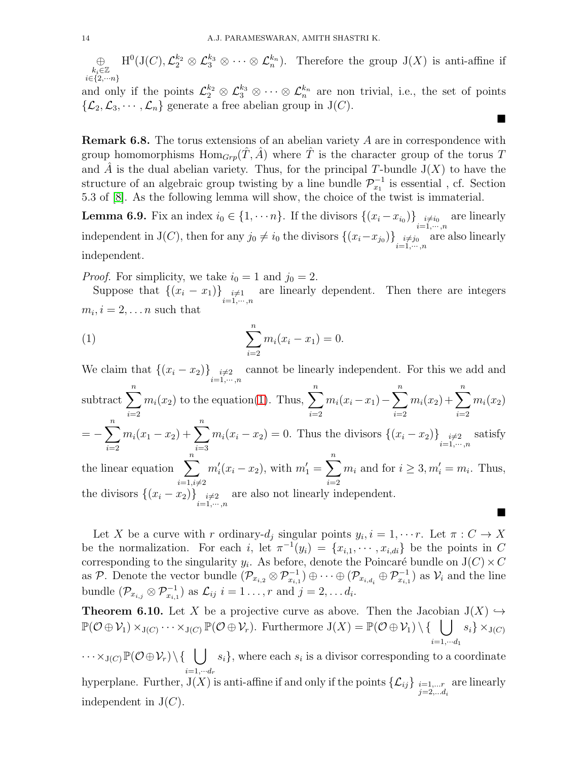⊕  $k_i \in \mathbb{Z}$ <br> $i \in \{2,...n\}$  $H^0(J(C), \mathcal{L}_2^{k_2} \otimes \mathcal{L}_3^{k_3} \otimes \cdots \otimes \mathcal{L}_n^{k_n}).$  Therefore the group  $J(X)$  is anti-affine if

and only if the points  $\mathcal{L}_2^{k_2} \otimes \mathcal{L}_3^{k_3} \otimes \cdots \otimes \mathcal{L}_n^{k_n}$  are non trivial, i.e., the set of points  $\{\mathcal{L}_2,\mathcal{L}_3,\cdots,\mathcal{L}_n\}$  generate a free abelian group in  $J(C)$ .

ш

■

Remark 6.8. The torus extensions of an abelian variety A are in correspondence with group homomorphisms  $\text{Hom}_{Grp}(\tilde{T}, \tilde{A})$  where  $\tilde{T}$  is the character group of the torus T and  $\hat{A}$  is the dual abelian variety. Thus, for the principal T-bundle  $J(X)$  to have the structure of an algebraic group twisting by a line bundle  $\mathcal{P}_{x_1}^{-1}$  is essential, cf. Section 5.3 of [\[8\]](#page-15-18). As the following lemma will show, the choice of the twist is immaterial.

<span id="page-13-2"></span>**Lemma 6.9.** Fix an index  $i_0 \in \{1, \dots, n\}$ . If the divisors  $\{(x_i - x_{i_0})\}_{\substack{i=1,\dots,n \ i=1,\dots,n}}$ are linearly independent in J(*C*), then for any  $j_0 \neq i_0$  the divisors  $\{(x_i-x_{j_0})\}_{\substack{i=1,\cdots,n\\i=1,\cdots,n}}$ are also linearly independent.

*Proof.* For simplicity, we take  $i_0 = 1$  and  $j_0 = 2$ .

Suppose that  $\{(x_i - x_1)\}_{i=1,\dots,n}$ are linearly dependent. Then there are integers  $m_i, i = 2, \ldots n$  such that

<span id="page-13-1"></span>(1) 
$$
\sum_{i=2}^{n} m_i (x_i - x_1) = 0.
$$

We claim that  $\{(x_i - x_2)\}_{i=1,\dots,n}$ cannot be linearly independent. For this we add and subtract  $\sum_{n=1}^n$  $i=2$  $m_i(x_2)$  to the equation[\(1\)](#page-13-1). Thus,  $\sum_{n=1}^n$  $i=2$  $m_i(x_i-x_1) - \sum_{i=1}^{n}$  $i=2$  $m_i(x_2)+\sum_1^n$  $i=2$  $m_i(x_2)$  $=-\sum_{n=1}^{\infty}$  $i=2$  $m_i(x_1 - x_2) + \sum_{n=1}^{n}$  $i=3$  $m_i(x_i - x_2) = 0$ . Thus the divisors  $\{(x_i - x_2)\}_{i=1,\dots,n}$ satisfy the linear equation  $\sum_{i=1}^{n} m'_i(x_i - x_2)$ , with  $m'_1 = \sum_{i=1}^{n} m_i$  and for  $i \geq 3, m'_i = m_i$ . Thus,  $i=1, i \neq 2$   $i=2$ the divisors  $\{(x_i - x_2)\}_{i=1,\dots,n}$ are also not linearly independent.

Let X be a curve with r ordinary- $d_j$  singular points  $y_i, i = 1, \dots r$ . Let  $\pi : C \to X$ be the normalization. For each i, let  $\pi^{-1}(y_i) = \{x_{i,1}, \dots, x_{i,di}\}\$ be the points in C corresponding to the singularity  $y_i$ . As before, denote the Poincaré bundle on  $J(C) \times C$ as P. Denote the vector bundle  $(\mathcal{P}_{x_{i,2}} \otimes \mathcal{P}_{x_{i,1}}^{-1}) \oplus \cdots \oplus (\mathcal{P}_{x_{i,d_i}} \oplus \mathcal{P}_{x_{i,1}}^{-1})$  as  $\mathcal{V}_i$  and the line bundle  $(\mathcal{P}_{x_{i,j}} \otimes \mathcal{P}_{x_{i,1}}^{-1})$  as  $\mathcal{L}_{ij}$   $i = 1 \ldots, r$  and  $j = 2, \ldots, d_i$ .

<span id="page-13-0"></span>**Theorem 6.10.** Let X be a projective curve as above. Then the Jacobian  $J(X) \hookrightarrow$  $\mathbb{P}(\mathcal{O}\oplus\mathcal{V}_1)\times_{\mathrm{J}(C)}\cdots\times_{\mathrm{J}(C)}\mathbb{P}(\mathcal{O}\oplus\mathcal{V}_r)$ . Furthermore  $\mathrm{J}(X)=\mathbb{P}(\mathcal{O}\oplus\mathcal{V}_1)\setminus\{\phantom{T}\mid\phantom{T}\}$  $i=1,\cdots d_1$  $s_i\} \times_{\mathcal{J}(C)}$ 

 $\cdots \times_{\mathrm{J}(C)}\mathbb{P}(\mathcal{O}\!\oplus\!\mathcal{V}_r)\!\setminus\!\{\phantom{x}\bigcup\limits_{i=1}^r\!$  $i=1,\cdots d_r$  $s_i$ , where each  $s_i$  is a divisor corresponding to a coordinate hyperplane. Further,  $\mathrm{J}(X)$  is anti-affine if and only if the points  $\{\mathcal{L}_{ij}\}_{i=1,...r}$  $j = 2,...d_i$ are linearly independent in  $J(C)$ .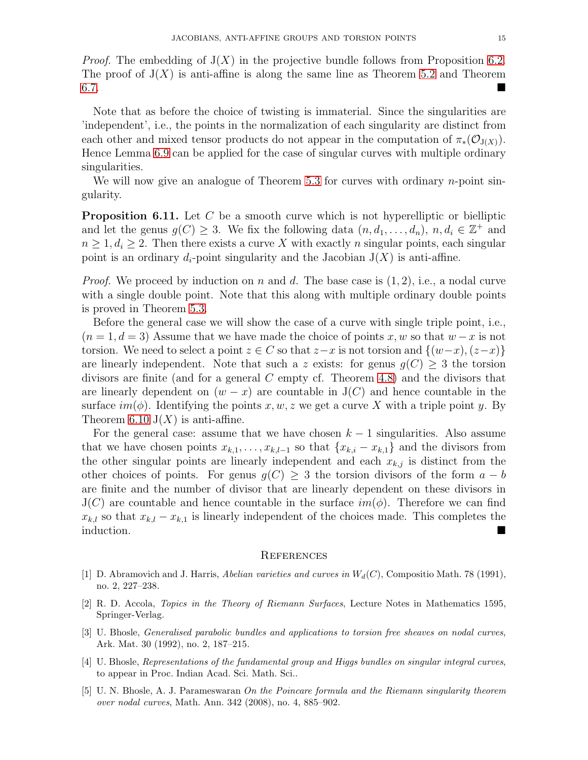*Proof.* The embedding of  $J(X)$  in the projective bundle follows from Proposition [6.2.](#page-11-0) The proof of  $J(X)$  is anti-affine is along the same line as Theorem [5.2](#page-10-3) and Theorem [6.7.](#page-12-2)

Note that as before the choice of twisting is immaterial. Since the singularities are 'independent', i.e., the points in the normalization of each singularity are distinct from each other and mixed tensor products do not appear in the computation of  $\pi_*(\mathcal{O}_{J(X)})$ . Hence Lemma [6.9](#page-13-2) can be applied for the case of singular curves with multiple ordinary singularities.

We will now give an analogue of Theorem [5.3](#page-10-0) for curves with ordinary  $n$ -point singularity.

**Proposition 6.11.** Let C be a smooth curve which is not hyperelliptic or bielliptic and let the genus  $g(C) \geq 3$ . We fix the following data  $(n, d_1, \ldots, d_n)$ ,  $n, d_i \in \mathbb{Z}^+$  and  $n \geq 1, d_i \geq 2$ . Then there exists a curve X with exactly n singular points, each singular point is an ordinary  $d_i$ -point singularity and the Jacobian  $J(X)$  is anti-affine.

*Proof.* We proceed by induction on n and d. The base case is  $(1, 2)$ , i.e., a nodal curve with a single double point. Note that this along with multiple ordinary double points is proved in Theorem [5.3.](#page-10-0)

Before the general case we will show the case of a curve with single triple point, i.e.,  $(n = 1, d = 3)$  Assume that we have made the choice of points x, w so that  $w - x$  is not torsion. We need to select a point  $z \in C$  so that  $z-x$  is not torsion and  $\{(w-x), (z-x)\}\$ are linearly independent. Note that such a z exists: for genus  $g(C) \geq 3$  the torsion divisors are finite (and for a general C empty cf. Theorem [4.8\)](#page-9-2) and the divisors that are linearly dependent on  $(w - x)$  are countable in J(C) and hence countable in the surface  $im(\phi)$ . Identifying the points x, w, z we get a curve X with a triple point y. By Theorem [6.10](#page-13-0)  $J(X)$  is anti-affine.

For the general case: assume that we have chosen  $k-1$  singularities. Also assume that we have chosen points  $x_{k,1}, \ldots, x_{k,l-1}$  so that  $\{x_{k,i} - x_{k,1}\}\$  and the divisors from the other singular points are linearly independent and each  $x_{k,j}$  is distinct from the other choices of points. For genus  $g(C) \geq 3$  the torsion divisors of the form  $a - b$ are finite and the number of divisor that are linearly dependent on these divisors in  $J(C)$  are countable and hence countable in the surface  $im(\phi)$ . Therefore we can find  $x_{k,l}$  so that  $x_{k,l} - x_{k,1}$  is linearly independent of the choices made. This completes the induction.

#### **REFERENCES**

- <span id="page-14-3"></span>[1] D. Abramovich and J. Harris, Abelian varieties and curves in  $W_d(C)$ , Compositio Math. 78 (1991), no. 2, 227–238.
- <span id="page-14-2"></span>[2] R. D. Accola, Topics in the Theory of Riemann Surfaces, Lecture Notes in Mathematics 1595, Springer-Verlag.
- <span id="page-14-0"></span>[3] U. Bhosle, Generalised parabolic bundles and applications to torsion free sheaves on nodal curves, Ark. Mat. 30 (1992), no. 2, 187–215.
- <span id="page-14-4"></span>[4] U. Bhosle, Representations of the fundamental group and Higgs bundles on singular integral curves, to appear in Proc. Indian Acad. Sci. Math. Sci..
- <span id="page-14-1"></span>[5] U. N. Bhosle, A. J. Parameswaran On the Poincare formula and the Riemann singularity theorem over nodal curves, Math. Ann. 342 (2008), no. 4, 885–902.